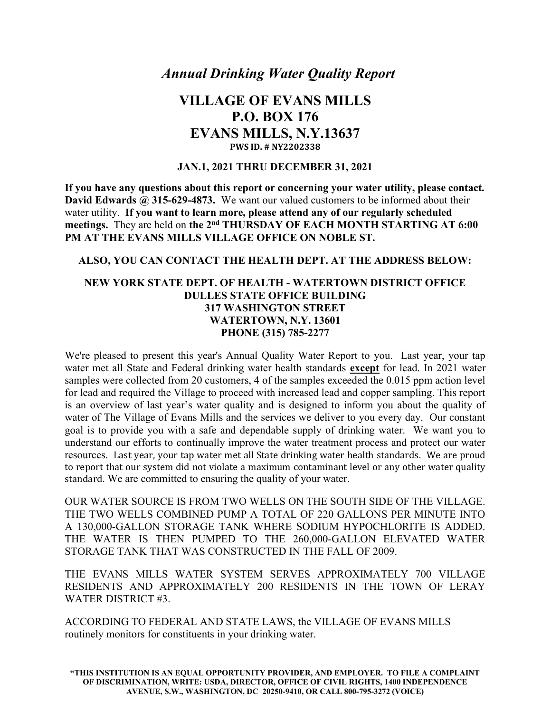Annual Drinking Water Quality Report

## VILLAGE OF EVANS MILLS P.O. BOX 176 EVANS MILLS, N.Y.13637 PWS ID. # NY2202338

#### JAN.1, 2021 THRU DECEMBER 31, 2021

If you have any questions about this report or concerning your water utility, please contact. David Edwards @ 315-629-4873. We want our valued customers to be informed about their water utility. If you want to learn more, please attend any of our regularly scheduled meetings. They are held on the 2<sup>nd</sup> THURSDAY OF EACH MONTH STARTING AT 6:00 PM AT THE EVANS MILLS VILLAGE OFFICE ON NOBLE ST.

#### ALSO, YOU CAN CONTACT THE HEALTH DEPT. AT THE ADDRESS BELOW:

#### NEW YORK STATE DEPT. OF HEALTH - WATERTOWN DISTRICT OFFICE DULLES STATE OFFICE BUILDING 317 WASHINGTON STREET WATERTOWN, N.Y. 13601 PHONE (315) 785-2277

We're pleased to present this year's Annual Quality Water Report to you. Last year, your tap water met all State and Federal drinking water health standards except for lead. In 2021 water samples were collected from 20 customers, 4 of the samples exceeded the 0.015 ppm action level for lead and required the Village to proceed with increased lead and copper sampling. This report is an overview of last year's water quality and is designed to inform you about the quality of water of The Village of Evans Mills and the services we deliver to you every day. Our constant goal is to provide you with a safe and dependable supply of drinking water. We want you to understand our efforts to continually improve the water treatment process and protect our water resources. Last year, your tap water met all State drinking water health standards. We are proud to report that our system did not violate a maximum contaminant level or any other water quality standard. We are committed to ensuring the quality of your water.

OUR WATER SOURCE IS FROM TWO WELLS ON THE SOUTH SIDE OF THE VILLAGE. THE TWO WELLS COMBINED PUMP A TOTAL OF 220 GALLONS PER MINUTE INTO A 130,000-GALLON STORAGE TANK WHERE SODIUM HYPOCHLORITE IS ADDED. THE WATER IS THEN PUMPED TO THE 260,000-GALLON ELEVATED WATER STORAGE TANK THAT WAS CONSTRUCTED IN THE FALL OF 2009.

THE EVANS MILLS WATER SYSTEM SERVES APPROXIMATELY 700 VILLAGE RESIDENTS AND APPROXIMATELY 200 RESIDENTS IN THE TOWN OF LERAY WATER DISTRICT #3.

ACCORDING TO FEDERAL AND STATE LAWS, the VILLAGE OF EVANS MILLS routinely monitors for constituents in your drinking water.

"THIS INSTITUTION IS AN EQUAL OPPORTUNITY PROVIDER, AND EMPLOYER. TO FILE A COMPLAINT OF DISCRIMINATION, WRITE: USDA, DIRECTOR, OFFICE OF CIVIL RIGHTS, 1400 INDEPENDENCE AVENUE, S.W., WASHINGTON, DC 20250-9410, OR CALL 800-795-3272 (VOICE)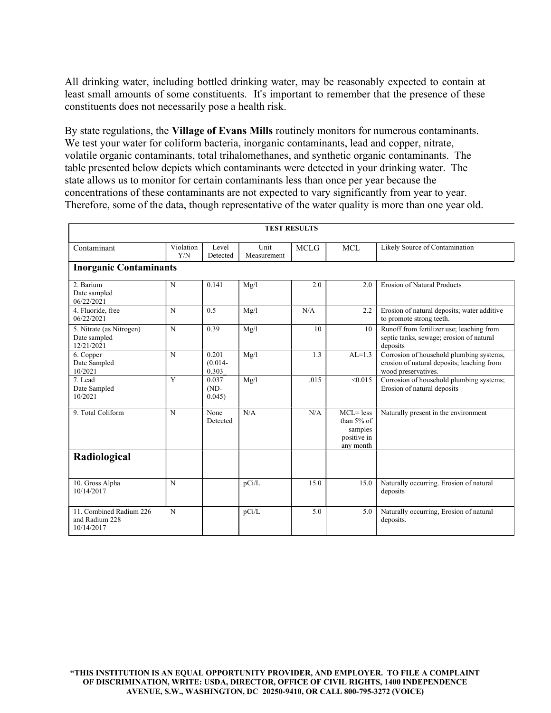All drinking water, including bottled drinking water, may be reasonably expected to contain at least small amounts of some constituents. It's important to remember that the presence of these constituents does not necessarily pose a health risk.

By state regulations, the Village of Evans Mills routinely monitors for numerous contaminants. We test your water for coliform bacteria, inorganic contaminants, lead and copper, nitrate, volatile organic contaminants, total trihalomethanes, and synthetic organic contaminants. The table presented below depicts which contaminants were detected in your drinking water. The state allows us to monitor for certain contaminants less than once per year because the concentrations of these contaminants are not expected to vary significantly from year to year. Therefore, some of the data, though representative of the water quality is more than one year old.

| <b>TEST RESULTS</b>                                     |                  |                              |                     |             |                                                                   |                                                                                                               |  |  |  |  |  |  |
|---------------------------------------------------------|------------------|------------------------------|---------------------|-------------|-------------------------------------------------------------------|---------------------------------------------------------------------------------------------------------------|--|--|--|--|--|--|
| Contaminant                                             | Violation<br>Y/N | Level<br>Detected            | Unit<br>Measurement | <b>MCLG</b> | <b>MCL</b>                                                        | Likely Source of Contamination                                                                                |  |  |  |  |  |  |
| <b>Inorganic Contaminants</b>                           |                  |                              |                     |             |                                                                   |                                                                                                               |  |  |  |  |  |  |
| 2. Barium<br>Date sampled<br>06/22/2021                 | $\mathbf N$      | 0.141                        | Mg/l                | 2.0         | 2.0                                                               | <b>Erosion of Natural Products</b>                                                                            |  |  |  |  |  |  |
| 4. Fluoride, free<br>06/22/2021                         | N                | 0.5                          | Mg/l                | N/A         | 2.2                                                               | Erosion of natural deposits; water additive<br>to promote strong teeth.                                       |  |  |  |  |  |  |
| 5. Nitrate (as Nitrogen)<br>Date sampled<br>12/21/2021  | $\mathbf N$      | 0.39                         | Mg/l                | 10          | 10                                                                | Runoff from fertilizer use; leaching from<br>septic tanks, sewage; erosion of natural<br>deposits             |  |  |  |  |  |  |
| 6. Copper<br>Date Sampled<br>10/2021                    | $\mathbf N$      | 0.201<br>$(0.014 -$<br>0.303 | Mg/l                | 1.3         | $AL=1.3$                                                          | Corrosion of household plumbing systems,<br>erosion of natural deposits; leaching from<br>wood preservatives. |  |  |  |  |  |  |
| 7. Lead<br>Date Sampled<br>10/2021                      | $\overline{Y}$   | 0.037<br>$(ND-$<br>0.045)    | Mg/l                | .015        | < 0.015                                                           | Corrosion of household plumbing systems;<br>Erosion of natural deposits                                       |  |  |  |  |  |  |
| 9. Total Coliform                                       | $\mathbf N$      | None<br>Detected             | N/A                 | N/A         | $MCL = less$<br>than 5% of<br>samples<br>positive in<br>any month | Naturally present in the environment                                                                          |  |  |  |  |  |  |
| Radiological                                            |                  |                              |                     |             |                                                                   |                                                                                                               |  |  |  |  |  |  |
| 10. Gross Alpha<br>10/14/2017                           | N                |                              | pCi/L               | 15.0        | 15.0                                                              | Naturally occurring. Erosion of natural<br>deposits                                                           |  |  |  |  |  |  |
| 11. Combined Radium 226<br>and Radium 228<br>10/14/2017 | $\mathbf N$      |                              | pCi/L               | 5.0         | 5.0                                                               | Naturally occurring, Erosion of natural<br>deposits.                                                          |  |  |  |  |  |  |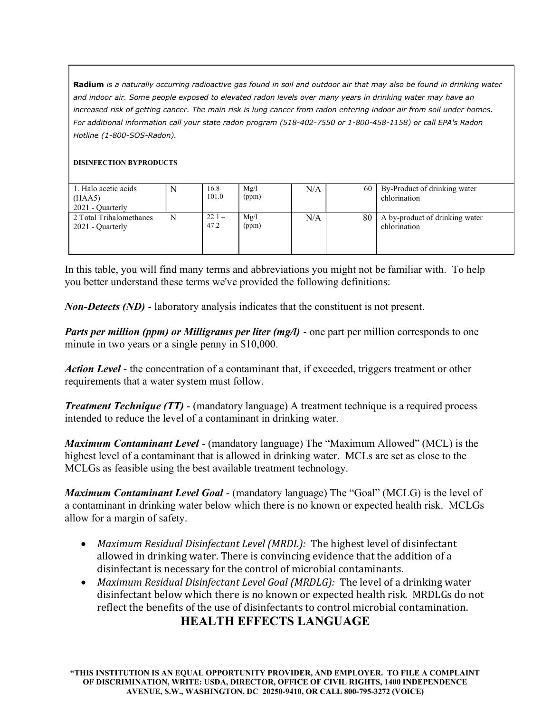Radium is a naturally occurring radioactive gas found in soil and outdoor air that may also be found in drinking water and indoor air. Some people exposed to elevated radon levels over many years in drinking water may have an increased risk of getting cancer. The main risk is lung cancer from radon entering indoor air from soil under homes. For additional information call your state radon program (518-402-7550 or 1-800-458-1158) or call EPA's Radon Hotline (1-800-SOS-Radon).

#### DISINFECTION BYPRODUCTS

| 1. Halo acetic acids<br>(HAA5)<br>2021 - Quarterly | N | $16.8-$<br>101.0 | Mg/l<br>(ppm) | N/A | 60 | By-Product of drinking water<br>chlorination   |
|----------------------------------------------------|---|------------------|---------------|-----|----|------------------------------------------------|
| 2 Total Trihalomethanes<br>2021 - Quarterly        | N | $22.1 -$<br>47.2 | Mg/l<br>(ppm) | N/A | 80 | A by-product of drinking water<br>chlorination |

In this table, you will find many terms and abbreviations you might not be familiar with. To help you better understand these terms we've provided the following definitions:

Non-Detects (ND) - laboratory analysis indicates that the constituent is not present.

Parts per million (ppm) or Milligrams per liter (mg/l) - one part per million corresponds to one minute in two years or a single penny in \$10,000.

Action Level - the concentration of a contaminant that, if exceeded, triggers treatment or other requirements that a water system must follow.

**Treatment Technique (TT) - (mandatory language)** A treatment technique is a required process intended to reduce the level of a contaminant in drinking water.

*Maximum Contaminant Level* - (mandatory language) The "Maximum Allowed" (MCL) is the highest level of a contaminant that is allowed in drinking water. MCLs are set as close to the MCLGs as feasible using the best available treatment technology.

**Maximum Contaminant Level Goal -** (mandatory language) The "Goal" (MCLG) is the level of a contaminant in drinking water below which there is no known or expected health risk. MCLGs allow for a margin of safety.

- Maximum Residual Disinfectant Level (MRDL): The highest level of disinfectant allowed in drinking water. There is convincing evidence that the addition of a disinfectant is necessary for the control of microbial contaminants.
- Maximum Residual Disinfectant Level Goal (MRDLG): The level of a drinking water disinfectant below which there is no known or expected health risk. MRDLGs do not reflect the benefits of the use of disinfectants to control microbial contamination.

## HEALTH EFFECTS LANGUAGE

"THIS INSTITUTION IS AN EQUAL OPPORTUNITY PROVIDER, AND EMPLOYER. TO FILE A COMPLAINT OF DISCRIMINATION, WRITE: USDA, DIRECTOR, OFFICE OF CIVIL RIGHTS, 1400 INDEPENDENCE AVENUE, S.W., WASHINGTON, DC 20250-9410, OR CALL 800-795-3272 (VOICE)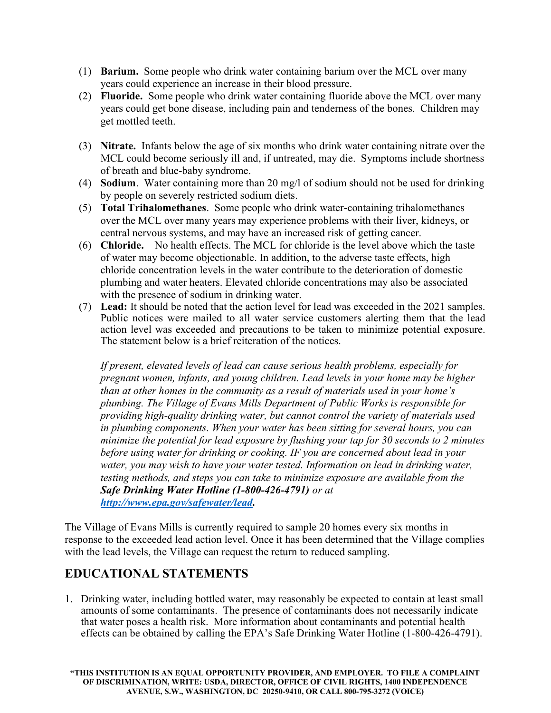- (1) Barium. Some people who drink water containing barium over the MCL over many years could experience an increase in their blood pressure.
- (2) Fluoride. Some people who drink water containing fluoride above the MCL over many years could get bone disease, including pain and tenderness of the bones. Children may get mottled teeth.
- (3) Nitrate. Infants below the age of six months who drink water containing nitrate over the MCL could become seriously ill and, if untreated, may die. Symptoms include shortness of breath and blue-baby syndrome.
- (4) Sodium. Water containing more than 20 mg/l of sodium should not be used for drinking by people on severely restricted sodium diets.
- (5) Total Trihalomethanes. Some people who drink water-containing trihalomethanes over the MCL over many years may experience problems with their liver, kidneys, or central nervous systems, and may have an increased risk of getting cancer.
- (6) Chloride. No health effects. The MCL for chloride is the level above which the taste of water may become objectionable. In addition, to the adverse taste effects, high chloride concentration levels in the water contribute to the deterioration of domestic plumbing and water heaters. Elevated chloride concentrations may also be associated with the presence of sodium in drinking water.
- (7) Lead: It should be noted that the action level for lead was exceeded in the 2021 samples. Public notices were mailed to all water service customers alerting them that the lead action level was exceeded and precautions to be taken to minimize potential exposure. The statement below is a brief reiteration of the notices.

If present, elevated levels of lead can cause serious health problems, especially for pregnant women, infants, and young children. Lead levels in your home may be higher than at other homes in the community as a result of materials used in your home's plumbing. The Village of Evans Mills Department of Public Works is responsible for providing high-quality drinking water, but cannot control the variety of materials used in plumbing components. When your water has been sitting for several hours, you can minimize the potential for lead exposure by flushing your tap for 30 seconds to 2 minutes before using water for drinking or cooking. IF you are concerned about lead in your water, you may wish to have your water tested. Information on lead in drinking water, testing methods, and steps you can take to minimize exposure are available from the Safe Drinking Water Hotline (1-800-426-4791) or at http://www.epa.gov/safewater/lead.

The Village of Evans Mills is currently required to sample 20 homes every six months in response to the exceeded lead action level. Once it has been determined that the Village complies with the lead levels, the Village can request the return to reduced sampling.

# EDUCATIONAL STATEMENTS

1. Drinking water, including bottled water, may reasonably be expected to contain at least small amounts of some contaminants. The presence of contaminants does not necessarily indicate that water poses a health risk. More information about contaminants and potential health effects can be obtained by calling the EPA's Safe Drinking Water Hotline (1-800-426-4791).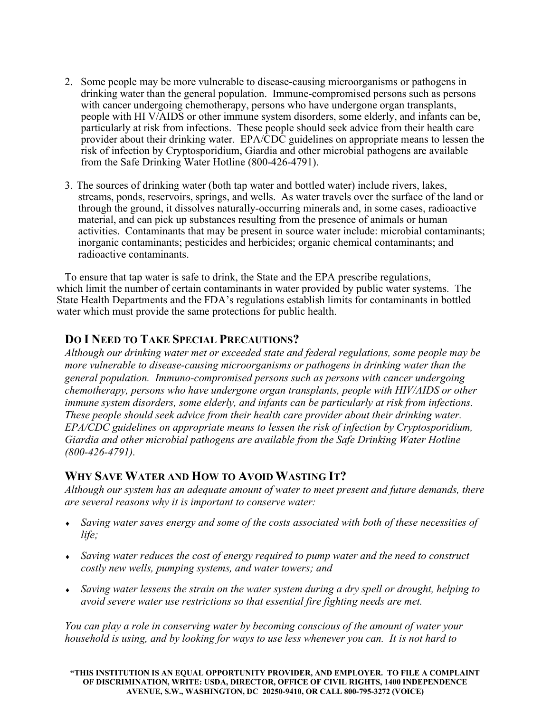- 2. Some people may be more vulnerable to disease-causing microorganisms or pathogens in drinking water than the general population. Immune-compromised persons such as persons with cancer undergoing chemotherapy, persons who have undergone organ transplants, people with HI V/AIDS or other immune system disorders, some elderly, and infants can be, particularly at risk from infections. These people should seek advice from their health care provider about their drinking water. EPA/CDC guidelines on appropriate means to lessen the risk of infection by Cryptosporidium, Giardia and other microbial pathogens are available from the Safe Drinking Water Hotline (800-426-4791).
- 3. The sources of drinking water (both tap water and bottled water) include rivers, lakes, streams, ponds, reservoirs, springs, and wells. As water travels over the surface of the land or through the ground, it dissolves naturally-occurring minerals and, in some cases, radioactive material, and can pick up substances resulting from the presence of animals or human activities. Contaminants that may be present in source water include: microbial contaminants; inorganic contaminants; pesticides and herbicides; organic chemical contaminants; and radioactive contaminants.

To ensure that tap water is safe to drink, the State and the EPA prescribe regulations, which limit the number of certain contaminants in water provided by public water systems. The State Health Departments and the FDA's regulations establish limits for contaminants in bottled water which must provide the same protections for public health.

### DO I NEED TO TAKE SPECIAL PRECAUTIONS?

Although our drinking water met or exceeded state and federal regulations, some people may be more vulnerable to disease-causing microorganisms or pathogens in drinking water than the general population. Immuno-compromised persons such as persons with cancer undergoing chemotherapy, persons who have undergone organ transplants, people with HIV/AIDS or other immune system disorders, some elderly, and infants can be particularly at risk from infections. These people should seek advice from their health care provider about their drinking water. EPA/CDC guidelines on appropriate means to lessen the risk of infection by Cryptosporidium, Giardia and other microbial pathogens are available from the Safe Drinking Water Hotline (800-426-4791).

### WHY SAVE WATER AND HOW TO AVOID WASTING IT?

Although our system has an adequate amount of water to meet present and future demands, there are several reasons why it is important to conserve water:

- Saving water saves energy and some of the costs associated with both of these necessities of life;
- Saving water reduces the cost of energy required to pump water and the need to construct costly new wells, pumping systems, and water towers; and
- Saving water lessens the strain on the water system during a dry spell or drought, helping to avoid severe water use restrictions so that essential fire fighting needs are met.

You can play a role in conserving water by becoming conscious of the amount of water your household is using, and by looking for ways to use less whenever you can. It is not hard to